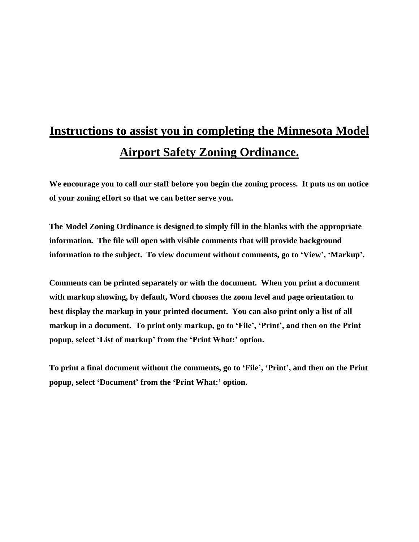# **Instructions to assist you in completing the Minnesota Model Airport Safety Zoning Ordinance.**

**We encourage you to call our staff before you begin the zoning process. It puts us on notice of your zoning effort so that we can better serve you.** 

**The Model Zoning Ordinance is designed to simply fill in the blanks with the appropriate information. The file will open with visible comments that will provide background information to the subject. To view document without comments, go to 'View', 'Markup'.** 

**Comments can be printed separately or with the document. When you print a document with markup showing, by default, Word chooses the zoom level and page orientation to best display the markup in your printed document. You can also print only a list of all markup in a document. To print only markup, go to 'File', 'Print', and then on the Print popup, select 'List of markup' from the 'Print What:' option.**

**To print a final document without the comments, go to 'File', 'Print', and then on the Print popup, select 'Document' from the 'Print What:' option.**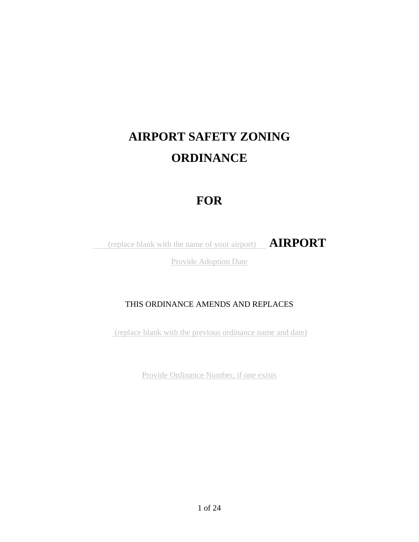# **AIRPORT SAFETY ZONING ORDINANCE**

## **FOR**

(replace blank with the name of your airport) **AIRPORT**

Provide Adoption Date

## THIS ORDINANCE AMENDS AND REPLACES

(replace blank with the previous ordinance name and date)

Provide Ordinance Number, if one exists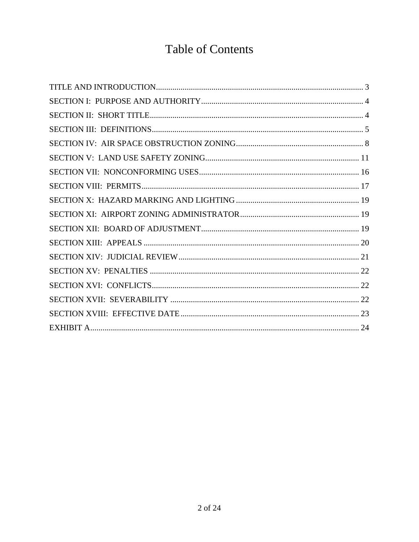## **Table of Contents**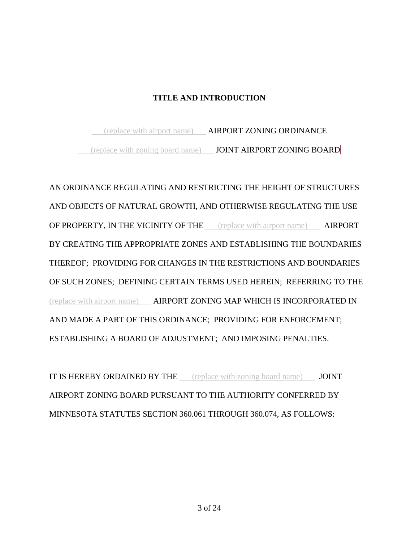## **TITLE AND INTRODUCTION**

<span id="page-3-0"></span>(replace with airport name) **AIRPORT ZONING ORDINANCE** 

(replace with zoning board name) JOINT AIRPORT ZONING BOARD

AN ORDINANCE REGULATING AND RESTRICTING THE HEIGHT OF STRUCTURES AND OBJECTS OF NATURAL GROWTH, AND OTHERWISE REGULATING THE USE OF PROPERTY, IN THE VICINITY OF THE (replace with airport name) AIRPORT BY CREATING THE APPROPRIATE ZONES AND ESTABLISHING THE BOUNDARIES THEREOF; PROVIDING FOR CHANGES IN THE RESTRICTIONS AND BOUNDARIES OF SUCH ZONES; DEFINING CERTAIN TERMS USED HEREIN; REFERRING TO THE (replace with airport name) AIRPORT ZONING MAP WHICH IS INCORPORATED IN AND MADE A PART OF THIS ORDINANCE; PROVIDING FOR ENFORCEMENT; ESTABLISHING A BOARD OF ADJUSTMENT; AND IMPOSING PENALTIES.

IT IS HEREBY ORDAINED BY THE (replace with zoning board name) JOINT AIRPORT ZONING BOARD PURSUANT TO THE AUTHORITY CONFERRED BY MINNESOTA STATUTES SECTION 360.061 THROUGH 360.074, AS FOLLOWS: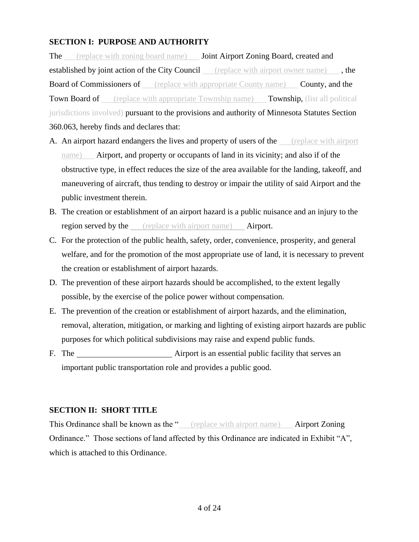## <span id="page-4-0"></span>**SECTION I: PURPOSE AND AUTHORITY**

The (replace with zoning board name) Joint Airport Zoning Board, created and established by joint action of the City Council (replace with airport owner name), the **Board of Commissioners of** (replace with appropriate County name) **County, and the Town Board of** (replace with appropriate Township name) **Township**, (list all political jurisdictions involved) pursuant to the provisions and authority of Minnesota Statutes Section 360.063, hereby finds and declares that:

- A. An airport hazard endangers the lives and property of users of the (replace with airport name) Airport, and property or occupants of land in its vicinity; and also if of the obstructive type, in effect reduces the size of the area available for the landing, takeoff, and maneuvering of aircraft, thus tending to destroy or impair the utility of said Airport and the public investment therein.
- B. The creation or establishment of an airport hazard is a public nuisance and an injury to the region served by the (replace with airport name) Airport.
- C. For the protection of the public health, safety, order, convenience, prosperity, and general welfare, and for the promotion of the most appropriate use of land, it is necessary to prevent the creation or establishment of airport hazards.
- D. The prevention of these airport hazards should be accomplished, to the extent legally possible, by the exercise of the police power without compensation.
- E. The prevention of the creation or establishment of airport hazards, and the elimination, removal, alteration, mitigation, or marking and lighting of existing airport hazards are public purposes for which political subdivisions may raise and expend public funds.
- F. The <u>Community Community Airport is an essential public facility that serves an</u> important public transportation role and provides a public good.

## <span id="page-4-1"></span>**SECTION II: SHORT TITLE**

This Ordinance shall be known as the " (replace with airport name) Airport Zoning Ordinance." Those sections of land affected by this Ordinance are indicated in Exhibit "A", which is attached to this Ordinance.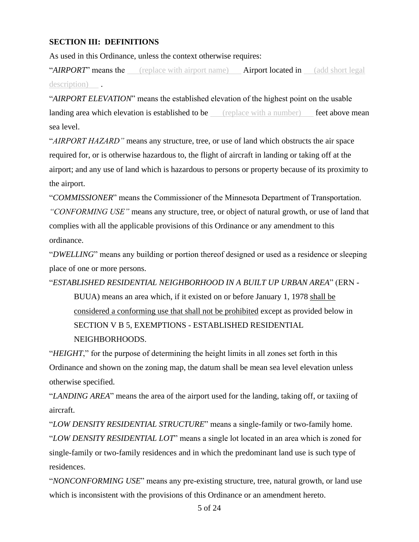#### <span id="page-5-0"></span>**SECTION III: DEFINITIONS**

As used in this Ordinance, unless the context otherwise requires:

"*AIRPORT*" means the (replace with airport name) Airport located in (add short legal description).

"*AIRPORT ELEVATION*" means the established elevation of the highest point on the usable landing area which elevation is established to be (replace with a number) feet above mean sea level.

"*AIRPORT HAZARD"* means any structure, tree, or use of land which obstructs the air space required for, or is otherwise hazardous to, the flight of aircraft in landing or taking off at the airport; and any use of land which is hazardous to persons or property because of its proximity to the airport.

"*COMMISSIONER*" means the Commissioner of the Minnesota Department of Transportation. *"CONFORMING USE"* means any structure, tree, or object of natural growth, or use of land that complies with all the applicable provisions of this Ordinance or any amendment to this ordinance.

"*DWELLING*" means any building or portion thereof designed or used as a residence or sleeping place of one or more persons.

"*ESTABLISHED RESIDENTIAL NEIGHBORHOOD IN A BUILT UP URBAN AREA*" (ERN -

BUUA) means an area which, if it existed on or before January 1, 1978 shall be considered a conforming use that shall not be prohibited except as provided below in SECTION V B 5, EXEMPTIONS - ESTABLISHED RESIDENTIAL NEIGHBORHOODS.

"*HEIGHT*," for the purpose of determining the height limits in all zones set forth in this Ordinance and shown on the zoning map, the datum shall be mean sea level elevation unless otherwise specified.

"*LANDING AREA*" means the area of the airport used for the landing, taking off, or taxiing of aircraft.

"*LOW DENSITY RESIDENTIAL STRUCTURE*" means a single-family or two-family home. "*LOW DENSITY RESIDENTIAL LOT*" means a single lot located in an area which is zoned for single-family or two-family residences and in which the predominant land use is such type of residences.

"*NONCONFORMING USE*" means any pre-existing structure, tree, natural growth, or land use which is inconsistent with the provisions of this Ordinance or an amendment hereto.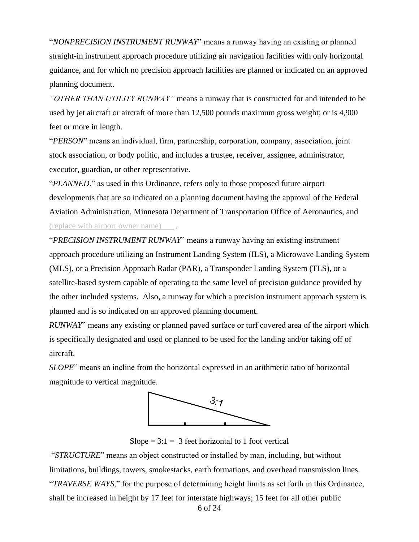"*NONPRECISION INSTRUMENT RUNWAY*" means a runway having an existing or planned straight-in instrument approach procedure utilizing air navigation facilities with only horizontal guidance, and for which no precision approach facilities are planned or indicated on an approved planning document.

*"OTHER THAN UTILITY RUNWAY"* means a runway that is constructed for and intended to be used by jet aircraft or aircraft of more than 12,500 pounds maximum gross weight; or is 4,900 feet or more in length.

"*PERSON*" means an individual, firm, partnership, corporation, company, association, joint stock association, or body politic, and includes a trustee, receiver, assignee, administrator, executor, guardian, or other representative.

"*PLANNED*," as used in this Ordinance, refers only to those proposed future airport developments that are so indicated on a planning document having the approval of the Federal Aviation Administration, Minnesota Department of Transportation Office of Aeronautics, and (replace with airport owner name) .

"*PRECISION INSTRUMENT RUNWAY*" means a runway having an existing instrument approach procedure utilizing an Instrument Landing System (ILS), a Microwave Landing System (MLS), or a Precision Approach Radar (PAR), a Transponder Landing System (TLS), or a satellite-based system capable of operating to the same level of precision guidance provided by the other included systems. Also, a runway for which a precision instrument approach system is planned and is so indicated on an approved planning document.

*RUNWAY*" means any existing or planned paved surface or turf covered area of the airport which is specifically designated and used or planned to be used for the landing and/or taking off of aircraft.

*SLOPE*" means an incline from the horizontal expressed in an arithmetic ratio of horizontal magnitude to vertical magnitude.



Slope  $= 3:1 = 3$  feet horizontal to 1 foot vertical

"*STRUCTURE*" means an object constructed or installed by man, including, but without limitations, buildings, towers, smokestacks, earth formations, and overhead transmission lines. "*TRAVERSE WAYS*," for the purpose of determining height limits as set forth in this Ordinance, shall be increased in height by 17 feet for interstate highways; 15 feet for all other public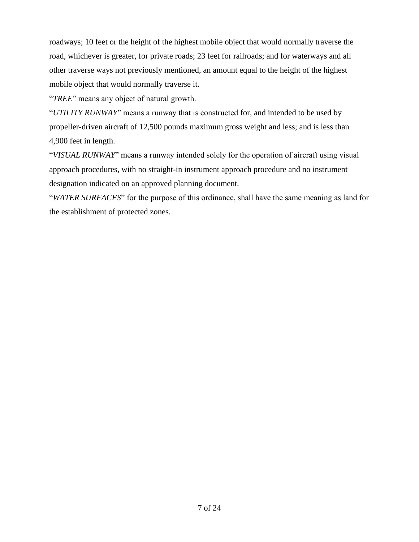roadways; 10 feet or the height of the highest mobile object that would normally traverse the road, whichever is greater, for private roads; 23 feet for railroads; and for waterways and all other traverse ways not previously mentioned, an amount equal to the height of the highest mobile object that would normally traverse it.

"*TREE*" means any object of natural growth.

"*UTILITY RUNWAY*" means a runway that is constructed for, and intended to be used by propeller-driven aircraft of 12,500 pounds maximum gross weight and less; and is less than 4,900 feet in length.

"*VISUAL RUNWAY*" means a runway intended solely for the operation of aircraft using visual approach procedures, with no straight-in instrument approach procedure and no instrument designation indicated on an approved planning document.

"*WATER SURFACES*" for the purpose of this ordinance, shall have the same meaning as land for the establishment of protected zones.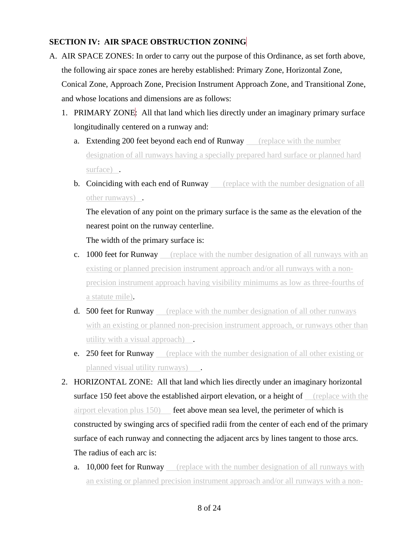## <span id="page-8-0"></span>**SECTION IV: AIR SPACE OBSTRUCTION ZONING**

- A. AIR SPACE ZONES: In order to carry out the purpose of this Ordinance, as set forth above, the following air space zones are hereby established: Primary Zone, Horizontal Zone, Conical Zone, Approach Zone, Precision Instrument Approach Zone, and Transitional Zone, and whose locations and dimensions are as follows:
	- 1. PRIMARY ZONE: All that land which lies directly under an imaginary primary surface longitudinally centered on a runway and:
		- a. Extending 200 feet beyond each end of Runway (replace with the number designation of all runways having a specially prepared hard surface or planned hard surface).
		- b. Coinciding with each end of Runway *(replace with the number designation of all*) other runways) .

The elevation of any point on the primary surface is the same as the elevation of the nearest point on the runway centerline.

The width of the primary surface is:

- c. 1000 feet for Runway (replace with the number designation of all runways with an existing or planned precision instrument approach and/or all runways with a nonprecision instrument approach having visibility minimums as low as three-fourths of a statute mile).
- **d.** 500 feet for Runway (replace with the number designation of all other runways with an existing or planned non-precision instrument approach, or runways other than utility with a visual approach) .
- e. 250 feet for Runway (replace with the number designation of all other existing or planned visual utility runways) .
- 2. HORIZONTAL ZONE: All that land which lies directly under an imaginary horizontal surface 150 feet above the established airport elevation, or a height of  $\Box$  (replace with the airport elevation plus  $150$ ) feet above mean sea level, the perimeter of which is constructed by swinging arcs of specified radii from the center of each end of the primary surface of each runway and connecting the adjacent arcs by lines tangent to those arcs. The radius of each arc is:
	- **a.** 10,000 feet for **Runway** (replace with the number designation of all runways with an existing or planned precision instrument approach and/or all runways with a non-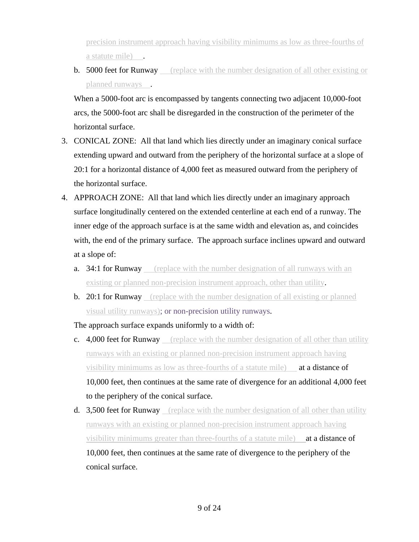precision instrument approach having visibility minimums as low as three-fourths of a statute mile) .

**b.** 5000 feet for Runway (replace with the number designation of all other existing or planned runways .

When a 5000-foot arc is encompassed by tangents connecting two adjacent 10,000-foot arcs, the 5000-foot arc shall be disregarded in the construction of the perimeter of the horizontal surface.

- 3. CONICAL ZONE: All that land which lies directly under an imaginary conical surface extending upward and outward from the periphery of the horizontal surface at a slope of 20:1 for a horizontal distance of 4,000 feet as measured outward from the periphery of the horizontal surface.
- 4. APPROACH ZONE: All that land which lies directly under an imaginary approach surface longitudinally centered on the extended centerline at each end of a runway. The inner edge of the approach surface is at the same width and elevation as, and coincides with, the end of the primary surface. The approach surface inclines upward and outward at a slope of:
	- **a. 34:1 for Runway** (replace with the number designation of all runways with an existing or planned non-precision instrument approach, other than utility.
	- **b.** 20:1 for Runway (replace with the number designation of all existing or planned visual utility runways); or non-precision utility runways.

The approach surface expands uniformly to a width of:

- c. 4,000 feet for Runway (replace with the number designation of all other than utility runways with an existing or planned non-precision instrument approach having visibility minimums as low as three-fourths of a statute mile) at a distance of 10,000 feet, then continues at the same rate of divergence for an additional 4,000 feet to the periphery of the conical surface.
- d. 3,500 feet for Runway (replace with the number designation of all other than utility runways with an existing or planned non-precision instrument approach having visibility minimums greater than three-fourths of a statute mile) **at a distance of** 10,000 feet, then continues at the same rate of divergence to the periphery of the conical surface.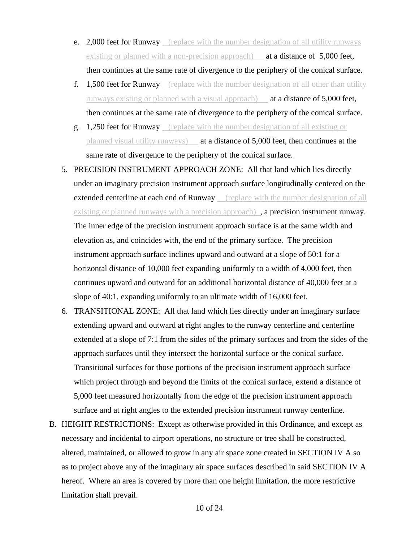- e. 2,000 feet for Runway (replace with the number designation of all utility runways existing or planned with a non-precision approach) at a distance of 5,000 feet, then continues at the same rate of divergence to the periphery of the conical surface.
- **f.** 1,500 feet for Runway (replace with the number designation of all other than utility runways existing or planned with a visual approach) **at a distance of 5,000 feet,** then continues at the same rate of divergence to the periphery of the conical surface.
- g. 1,250 feet for Runway (replace with the number designation of all existing or planned visual utility runways) at a distance of 5,000 feet, then continues at the same rate of divergence to the periphery of the conical surface.
- 5. PRECISION INSTRUMENT APPROACH ZONE: All that land which lies directly under an imaginary precision instrument approach surface longitudinally centered on the extended centerline at each end of Runway (replace with the number designation of all existing or planned runways with a precision approach), a precision instrument runway. The inner edge of the precision instrument approach surface is at the same width and elevation as, and coincides with, the end of the primary surface. The precision instrument approach surface inclines upward and outward at a slope of 50:1 for a horizontal distance of 10,000 feet expanding uniformly to a width of 4,000 feet, then continues upward and outward for an additional horizontal distance of 40,000 feet at a slope of 40:1, expanding uniformly to an ultimate width of 16,000 feet.
- 6. TRANSITIONAL ZONE: All that land which lies directly under an imaginary surface extending upward and outward at right angles to the runway centerline and centerline extended at a slope of 7:1 from the sides of the primary surfaces and from the sides of the approach surfaces until they intersect the horizontal surface or the conical surface. Transitional surfaces for those portions of the precision instrument approach surface which project through and beyond the limits of the conical surface, extend a distance of 5,000 feet measured horizontally from the edge of the precision instrument approach surface and at right angles to the extended precision instrument runway centerline.
- B. HEIGHT RESTRICTIONS: Except as otherwise provided in this Ordinance, and except as necessary and incidental to airport operations, no structure or tree shall be constructed, altered, maintained, or allowed to grow in any air space zone created in SECTION IV A so as to project above any of the imaginary air space surfaces described in said SECTION IV A hereof. Where an area is covered by more than one height limitation, the more restrictive limitation shall prevail.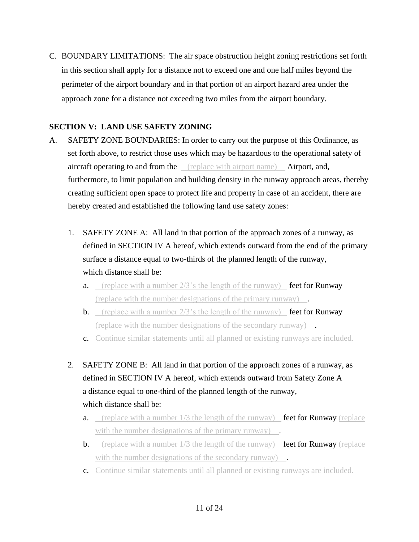C. BOUNDARY LIMITATIONS: The air space obstruction height zoning restrictions set forth in this section shall apply for a distance not to exceed one and one half miles beyond the perimeter of the airport boundary and in that portion of an airport hazard area under the approach zone for a distance not exceeding two miles from the airport boundary.

## <span id="page-11-0"></span>**SECTION V: LAND USE SAFETY ZONING**

- A. SAFETY ZONE BOUNDARIES: In order to carry out the purpose of this Ordinance, as set forth above, to restrict those uses which may be hazardous to the operational safety of aircraft operating to and from the (replace with airport name) Airport, and, furthermore, to limit population and building density in the runway approach areas, thereby creating sufficient open space to protect life and property in case of an accident, there are hereby created and established the following land use safety zones:
	- 1. SAFETY ZONE A: All land in that portion of the approach zones of a runway, as defined in SECTION IV A hereof, which extends outward from the end of the primary surface a distance equal to two-thirds of the planned length of the runway, which distance shall be:
		- **a.** (replace with a number  $2/3$ 's the length of the runway) **feet for Runway** (replace with the number designations of the primary runway) .
		- **b.** (replace with a number  $2/3$ 's the length of the runway) **feet for Runway** (replace with the number designations of the secondary runway) .
		- c. Continue similar statements until all planned or existing runways are included.
	- 2. SAFETY ZONE B: All land in that portion of the approach zones of a runway, as defined in SECTION IV A hereof, which extends outward from Safety Zone A a distance equal to one-third of the planned length of the runway, which distance shall be:
		- **a.** (replace with a number  $1/3$  the length of the runway) **feet for Runway** (replace) with the number designations of the primary runway).
		- **b.** (replace with a number  $1/3$  the length of the runway) **feet for Runway** (replace with the number designations of the secondary runway).
		- c. Continue similar statements until all planned or existing runways are included.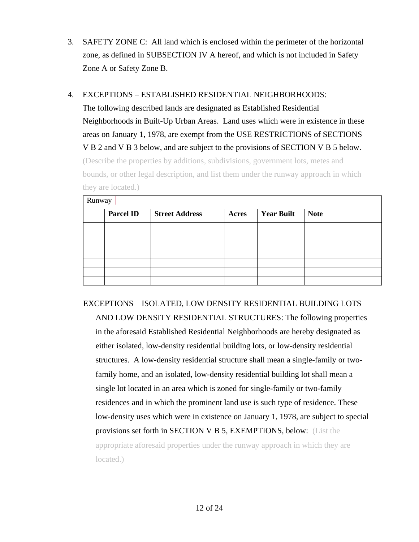3. SAFETY ZONE C: All land which is enclosed within the perimeter of the horizontal zone, as defined in SUBSECTION IV A hereof, and which is not included in Safety Zone A or Safety Zone B.

## 4. EXCEPTIONS – ESTABLISHED RESIDENTIAL NEIGHBORHOODS:

The following described lands are designated as Established Residential Neighborhoods in Built-Up Urban Areas. Land uses which were in existence in these areas on January 1, 1978, are exempt from the USE RESTRICTIONS of SECTIONS V B 2 and V B 3 below, and are subject to the provisions of SECTION V B 5 below.

(Describe the properties by additions, subdivisions, government lots, metes and bounds, or other legal description, and list them under the runway approach in which they are located.)

| Runway |                  |                       |              |                   |             |
|--------|------------------|-----------------------|--------------|-------------------|-------------|
|        | <b>Parcel ID</b> | <b>Street Address</b> | <b>Acres</b> | <b>Year Built</b> | <b>Note</b> |
|        |                  |                       |              |                   |             |
|        |                  |                       |              |                   |             |
|        |                  |                       |              |                   |             |
|        |                  |                       |              |                   |             |
|        |                  |                       |              |                   |             |
|        |                  |                       |              |                   |             |

EXCEPTIONS – ISOLATED, LOW DENSITY RESIDENTIAL BUILDING LOTS AND LOW DENSITY RESIDENTIAL STRUCTURES: The following properties in the aforesaid Established Residential Neighborhoods are hereby designated as either isolated, low-density residential building lots, or low-density residential structures. A low-density residential structure shall mean a single-family or twofamily home, and an isolated, low-density residential building lot shall mean a single lot located in an area which is zoned for single-family or two-family residences and in which the prominent land use is such type of residence. These low-density uses which were in existence on January 1, 1978, are subject to special provisions set forth in SECTION V B 5, EXEMPTIONS, below: (List the appropriate aforesaid properties under the runway approach in which they are located.)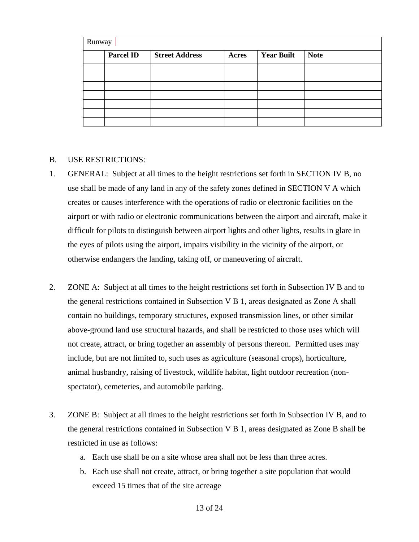| Runway |                  |                       |              |                   |             |
|--------|------------------|-----------------------|--------------|-------------------|-------------|
|        | <b>Parcel ID</b> | <b>Street Address</b> | <b>Acres</b> | <b>Year Built</b> | <b>Note</b> |
|        |                  |                       |              |                   |             |
|        |                  |                       |              |                   |             |
|        |                  |                       |              |                   |             |
|        |                  |                       |              |                   |             |
|        |                  |                       |              |                   |             |
|        |                  |                       |              |                   |             |

#### B. USE RESTRICTIONS:

- 1. GENERAL: Subject at all times to the height restrictions set forth in SECTION IV B, no use shall be made of any land in any of the safety zones defined in SECTION V A which creates or causes interference with the operations of radio or electronic facilities on the airport or with radio or electronic communications between the airport and aircraft, make it difficult for pilots to distinguish between airport lights and other lights, results in glare in the eyes of pilots using the airport, impairs visibility in the vicinity of the airport, or otherwise endangers the landing, taking off, or maneuvering of aircraft.
- 2. ZONE A: Subject at all times to the height restrictions set forth in Subsection IV B and to the general restrictions contained in Subsection V B 1, areas designated as Zone A shall contain no buildings, temporary structures, exposed transmission lines, or other similar above-ground land use structural hazards, and shall be restricted to those uses which will not create, attract, or bring together an assembly of persons thereon. Permitted uses may include, but are not limited to, such uses as agriculture (seasonal crops), horticulture, animal husbandry, raising of livestock, wildlife habitat, light outdoor recreation (nonspectator), cemeteries, and automobile parking.
- 3. ZONE B: Subject at all times to the height restrictions set forth in Subsection IV B, and to the general restrictions contained in Subsection V B 1, areas designated as Zone B shall be restricted in use as follows:
	- a. Each use shall be on a site whose area shall not be less than three acres.
	- b. Each use shall not create, attract, or bring together a site population that would exceed 15 times that of the site acreage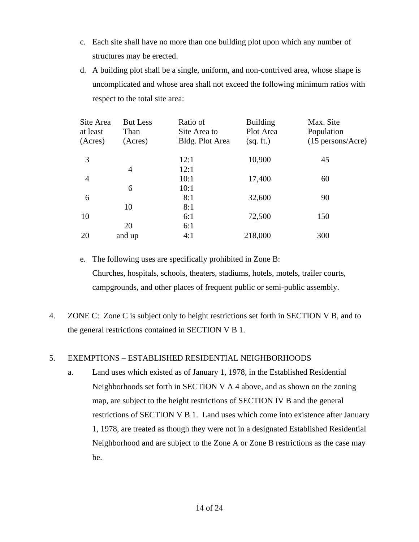- c. Each site shall have no more than one building plot upon which any number of structures may be erected.
- d. A building plot shall be a single, uniform, and non-contrived area, whose shape is uncomplicated and whose area shall not exceed the following minimum ratios with respect to the total site area:

| Site Area<br>at least<br>(Acres) | <b>But Less</b><br>Than<br>(Acres) | Ratio of<br>Site Area to<br>Bldg. Plot Area | <b>Building</b><br>Plot Area<br>(sq. ft.) | Max. Site<br>Population<br>$(15 \text{ persons/Acc})$ |
|----------------------------------|------------------------------------|---------------------------------------------|-------------------------------------------|-------------------------------------------------------|
| 3                                |                                    | 12:1                                        | 10,900                                    | 45                                                    |
|                                  | $\overline{4}$                     | 12:1                                        |                                           |                                                       |
| $\overline{4}$                   |                                    | 10:1                                        | 17,400                                    | 60                                                    |
|                                  | 6                                  | 10:1                                        |                                           |                                                       |
| 6                                |                                    | 8:1                                         | 32,600                                    | 90                                                    |
|                                  | 10                                 | 8:1                                         |                                           |                                                       |
| 10                               |                                    | 6:1                                         | 72,500                                    | 150                                                   |
|                                  | 20                                 | 6:1                                         |                                           |                                                       |
| 20                               | and up                             | 4:1                                         | 218,000                                   | 300                                                   |
|                                  |                                    |                                             |                                           |                                                       |

e. The following uses are specifically prohibited in Zone B: Churches, hospitals, schools, theaters, stadiums, hotels, motels, trailer courts, campgrounds, and other places of frequent public or semi-public assembly.

4. ZONE C: Zone C is subject only to height restrictions set forth in SECTION V B, and to the general restrictions contained in SECTION V B 1.

## 5. EXEMPTIONS – ESTABLISHED RESIDENTIAL NEIGHBORHOODS

a. Land uses which existed as of January 1, 1978, in the Established Residential Neighborhoods set forth in SECTION V A 4 above, and as shown on the zoning map, are subject to the height restrictions of SECTION IV B and the general restrictions of SECTION V B 1. Land uses which come into existence after January 1, 1978, are treated as though they were not in a designated Established Residential Neighborhood and are subject to the Zone A or Zone B restrictions as the case may be.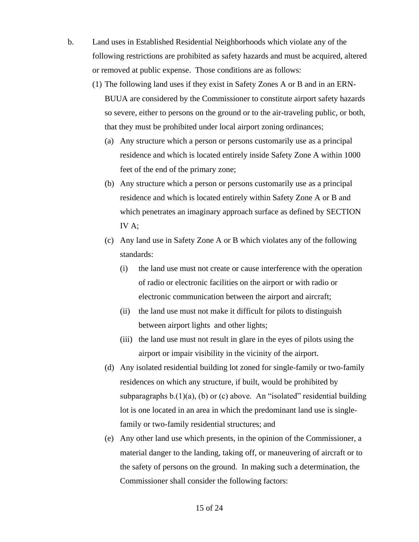- b. Land uses in Established Residential Neighborhoods which violate any of the following restrictions are prohibited as safety hazards and must be acquired, altered or removed at public expense. Those conditions are as follows:
	- (1) The following land uses if they exist in Safety Zones A or B and in an ERN-BUUA are considered by the Commissioner to constitute airport safety hazards so severe, either to persons on the ground or to the air-traveling public, or both, that they must be prohibited under local airport zoning ordinances;
		- (a) Any structure which a person or persons customarily use as a principal residence and which is located entirely inside Safety Zone A within 1000 feet of the end of the primary zone;
		- (b) Any structure which a person or persons customarily use as a principal residence and which is located entirely within Safety Zone A or B and which penetrates an imaginary approach surface as defined by SECTION IV A;
		- (c) Any land use in Safety Zone A or B which violates any of the following standards:
			- (i) the land use must not create or cause interference with the operation of radio or electronic facilities on the airport or with radio or electronic communication between the airport and aircraft;
			- (ii) the land use must not make it difficult for pilots to distinguish between airport lights and other lights;
			- (iii) the land use must not result in glare in the eyes of pilots using the airport or impair visibility in the vicinity of the airport.
		- (d) Any isolated residential building lot zoned for single-family or two-family residences on which any structure, if built, would be prohibited by subparagraphs  $b(1)(a)$ , (b) or (c) above. An "isolated" residential building lot is one located in an area in which the predominant land use is singlefamily or two-family residential structures; and
		- (e) Any other land use which presents, in the opinion of the Commissioner, a material danger to the landing, taking off, or maneuvering of aircraft or to the safety of persons on the ground. In making such a determination, the Commissioner shall consider the following factors: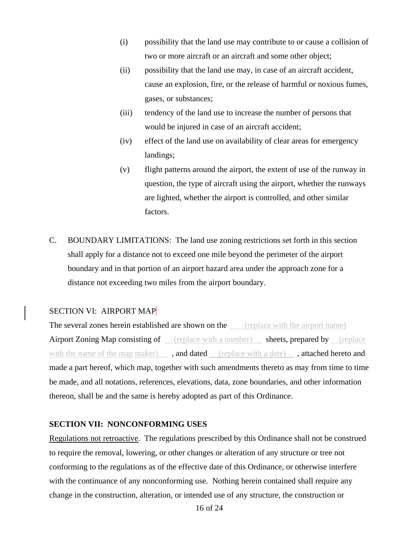- (i) possibility that the land use may contribute to or cause a collision of two or more aircraft or an aircraft and some other object;
- (ii) possibility that the land use may, in case of an aircraft accident, cause an explosion, fire, or the release of harmful or noxious fumes, gases, or substances;
- (iii) tendency of the land use to increase the number of persons that would be injured in case of an aircraft accident;
- (iv) effect of the land use on availability of clear areas for emergency landings;
- (v) flight patterns around the airport, the extent of use of the runway in question, the type of aircraft using the airport, whether the runways are lighted, whether the airport is controlled, and other similar factors.
- C. BOUNDARY LIMITATIONS: The land use zoning restrictions set forth in this section shall apply for a distance not to exceed one mile beyond the perimeter of the airport boundary and in that portion of an airport hazard area under the approach zone for a distance not exceeding two miles from the airport boundary.

## SECTION VI: AIRPORT MAP

The several zones herein established are shown on the <u>contract extends</u> with the airport name) Airport Zoning Map consisting of (replace with a number) sheets, prepared by (replace with the name of the map maker), and dated (replace with a date), attached hereto and made a part hereof, which map, together with such amendments thereto as may from time to time be made, and all notations, references, elevations, data, zone boundaries, and other information thereon, shall be and the same is hereby adopted as part of this Ordinance.

#### <span id="page-16-0"></span>**SECTION VII: NONCONFORMING USES**

Regulations not retroactive. The regulations prescribed by this Ordinance shall not be construed to require the removal, lowering, or other changes or alteration of any structure or tree not conforming to the regulations as of the effective date of this Ordinance, or otherwise interfere with the continuance of any nonconforming use. Nothing herein contained shall require any change in the construction, alteration, or intended use of any structure, the construction or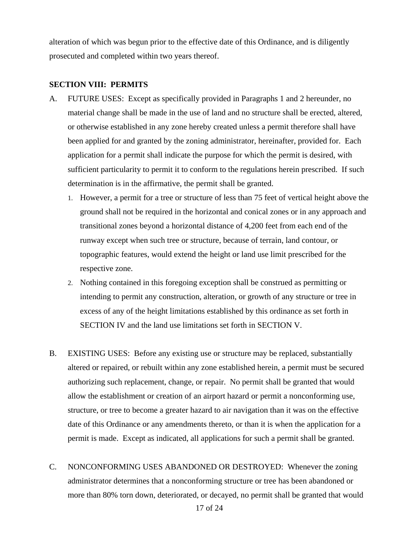alteration of which was begun prior to the effective date of this Ordinance, and is diligently prosecuted and completed within two years thereof.

#### <span id="page-17-0"></span>**SECTION VIII: PERMITS**

- A. FUTURE USES: Except as specifically provided in Paragraphs 1 and 2 hereunder, no material change shall be made in the use of land and no structure shall be erected, altered, or otherwise established in any zone hereby created unless a permit therefore shall have been applied for and granted by the zoning administrator, hereinafter, provided for. Each application for a permit shall indicate the purpose for which the permit is desired, with sufficient particularity to permit it to conform to the regulations herein prescribed. If such determination is in the affirmative, the permit shall be granted.
	- 1. However, a permit for a tree or structure of less than 75 feet of vertical height above the ground shall not be required in the horizontal and conical zones or in any approach and transitional zones beyond a horizontal distance of 4,200 feet from each end of the runway except when such tree or structure, because of terrain, land contour, or topographic features, would extend the height or land use limit prescribed for the respective zone.
	- 2. Nothing contained in this foregoing exception shall be construed as permitting or intending to permit any construction, alteration, or growth of any structure or tree in excess of any of the height limitations established by this ordinance as set forth in SECTION IV and the land use limitations set forth in SECTION V.
- B. EXISTING USES: Before any existing use or structure may be replaced, substantially altered or repaired, or rebuilt within any zone established herein, a permit must be secured authorizing such replacement, change, or repair. No permit shall be granted that would allow the establishment or creation of an airport hazard or permit a nonconforming use, structure, or tree to become a greater hazard to air navigation than it was on the effective date of this Ordinance or any amendments thereto, or than it is when the application for a permit is made. Except as indicated, all applications for such a permit shall be granted.
- C. NONCONFORMING USES ABANDONED OR DESTROYED: Whenever the zoning administrator determines that a nonconforming structure or tree has been abandoned or more than 80% torn down, deteriorated, or decayed, no permit shall be granted that would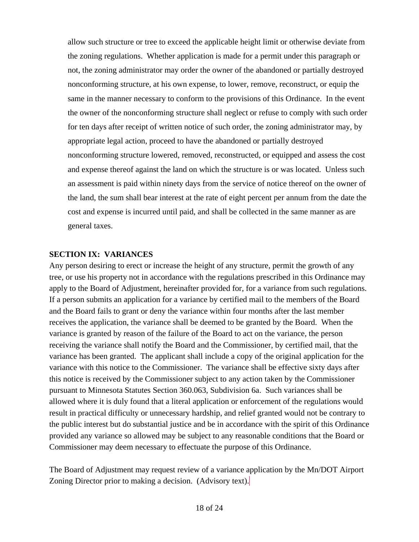allow such structure or tree to exceed the applicable height limit or otherwise deviate from the zoning regulations. Whether application is made for a permit under this paragraph or not, the zoning administrator may order the owner of the abandoned or partially destroyed nonconforming structure, at his own expense, to lower, remove, reconstruct, or equip the same in the manner necessary to conform to the provisions of this Ordinance. In the event the owner of the nonconforming structure shall neglect or refuse to comply with such order for ten days after receipt of written notice of such order, the zoning administrator may, by appropriate legal action, proceed to have the abandoned or partially destroyed nonconforming structure lowered, removed, reconstructed, or equipped and assess the cost and expense thereof against the land on which the structure is or was located. Unless such an assessment is paid within ninety days from the service of notice thereof on the owner of the land, the sum shall bear interest at the rate of eight percent per annum from the date the cost and expense is incurred until paid, and shall be collected in the same manner as are general taxes.

#### **SECTION IX: VARIANCES**

Any person desiring to erect or increase the height of any structure, permit the growth of any tree, or use his property not in accordance with the regulations prescribed in this Ordinance may apply to the Board of Adjustment, hereinafter provided for, for a variance from such regulations. If a person submits an application for a variance by certified mail to the members of the Board and the Board fails to grant or deny the variance within four months after the last member receives the application, the variance shall be deemed to be granted by the Board. When the variance is granted by reason of the failure of the Board to act on the variance, the person receiving the variance shall notify the Board and the Commissioner, by certified mail, that the variance has been granted. The applicant shall include a copy of the original application for the variance with this notice to the Commissioner. The variance shall be effective sixty days after this notice is received by the Commissioner subject to any action taken by the Commissioner pursuant to Minnesota Statutes Section 360.063, Subdivision 6a. Such variances shall be allowed where it is duly found that a literal application or enforcement of the regulations would result in practical difficulty or unnecessary hardship, and relief granted would not be contrary to the public interest but do substantial justice and be in accordance with the spirit of this Ordinance provided any variance so allowed may be subject to any reasonable conditions that the Board or Commissioner may deem necessary to effectuate the purpose of this Ordinance.

The Board of Adjustment may request review of a variance application by the Mn/DOT Airport Zoning Director prior to making a decision. (Advisory text).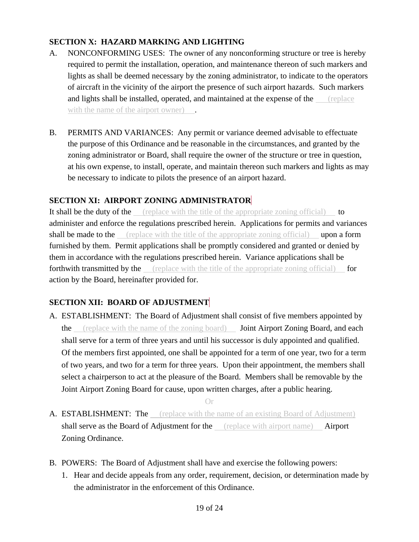## <span id="page-19-0"></span>**SECTION X: HAZARD MARKING AND LIGHTING**

- A. NONCONFORMING USES: The owner of any nonconforming structure or tree is hereby required to permit the installation, operation, and maintenance thereon of such markers and lights as shall be deemed necessary by the zoning administrator, to indicate to the operators of aircraft in the vicinity of the airport the presence of such airport hazards. Such markers and lights shall be installed, operated, and maintained at the expense of the (replace with the name of the airport owner).
- B. PERMITS AND VARIANCES: Any permit or variance deemed advisable to effectuate the purpose of this Ordinance and be reasonable in the circumstances, and granted by the zoning administrator or Board, shall require the owner of the structure or tree in question, at his own expense, to install, operate, and maintain thereon such markers and lights as may be necessary to indicate to pilots the presence of an airport hazard.

## <span id="page-19-1"></span>**SECTION XI: AIRPORT ZONING ADMINISTRATOR**

It shall be the duty of the  $\epsilon$  (replace with the title of the appropriate zoning official) to administer and enforce the regulations prescribed herein. Applications for permits and variances shall be made to the (replace with the title of the appropriate zoning official) upon a form furnished by them. Permit applications shall be promptly considered and granted or denied by them in accordance with the regulations prescribed herein. Variance applications shall be forthwith transmitted by the (replace with the title of the appropriate zoning official) for action by the Board, hereinafter provided for.

## <span id="page-19-2"></span>**SECTION XII: BOARD OF ADJUSTMENT**

A. ESTABLISHMENT: The Board of Adjustment shall consist of five members appointed by the <u>(replace with the name of the zoning board)</u> Joint Airport Zoning Board, and each shall serve for a term of three years and until his successor is duly appointed and qualified. Of the members first appointed, one shall be appointed for a term of one year, two for a term of two years, and two for a term for three years. Upon their appointment, the members shall select a chairperson to act at the pleasure of the Board. Members shall be removable by the Joint Airport Zoning Board for cause, upon written charges, after a public hearing.

Or

- A. ESTABLISHMENT: The (replace with the name of an existing Board of Adjustment) shall serve as the Board of Adjustment for the (replace with airport name) Airport Zoning Ordinance.
- B. POWERS: The Board of Adjustment shall have and exercise the following powers:
	- 1. Hear and decide appeals from any order, requirement, decision, or determination made by the administrator in the enforcement of this Ordinance.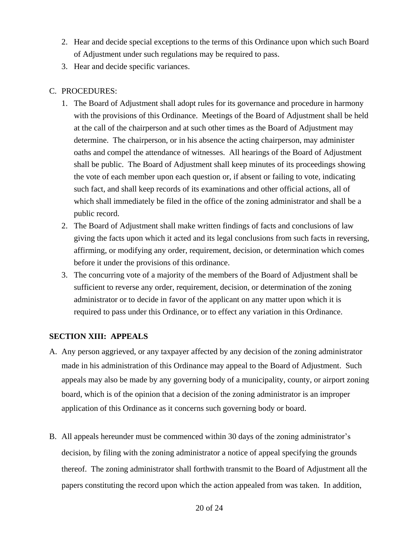- 2. Hear and decide special exceptions to the terms of this Ordinance upon which such Board of Adjustment under such regulations may be required to pass.
- 3. Hear and decide specific variances.

## C. PROCEDURES:

- 1. The Board of Adjustment shall adopt rules for its governance and procedure in harmony with the provisions of this Ordinance. Meetings of the Board of Adjustment shall be held at the call of the chairperson and at such other times as the Board of Adjustment may determine. The chairperson, or in his absence the acting chairperson, may administer oaths and compel the attendance of witnesses. All hearings of the Board of Adjustment shall be public. The Board of Adjustment shall keep minutes of its proceedings showing the vote of each member upon each question or, if absent or failing to vote, indicating such fact, and shall keep records of its examinations and other official actions, all of which shall immediately be filed in the office of the zoning administrator and shall be a public record.
- 2. The Board of Adjustment shall make written findings of facts and conclusions of law giving the facts upon which it acted and its legal conclusions from such facts in reversing, affirming, or modifying any order, requirement, decision, or determination which comes before it under the provisions of this ordinance.
- 3. The concurring vote of a majority of the members of the Board of Adjustment shall be sufficient to reverse any order, requirement, decision, or determination of the zoning administrator or to decide in favor of the applicant on any matter upon which it is required to pass under this Ordinance, or to effect any variation in this Ordinance.

## <span id="page-20-0"></span>**SECTION XIII: APPEALS**

- A. Any person aggrieved, or any taxpayer affected by any decision of the zoning administrator made in his administration of this Ordinance may appeal to the Board of Adjustment. Such appeals may also be made by any governing body of a municipality, county, or airport zoning board, which is of the opinion that a decision of the zoning administrator is an improper application of this Ordinance as it concerns such governing body or board.
- B. All appeals hereunder must be commenced within 30 days of the zoning administrator's decision, by filing with the zoning administrator a notice of appeal specifying the grounds thereof. The zoning administrator shall forthwith transmit to the Board of Adjustment all the papers constituting the record upon which the action appealed from was taken. In addition,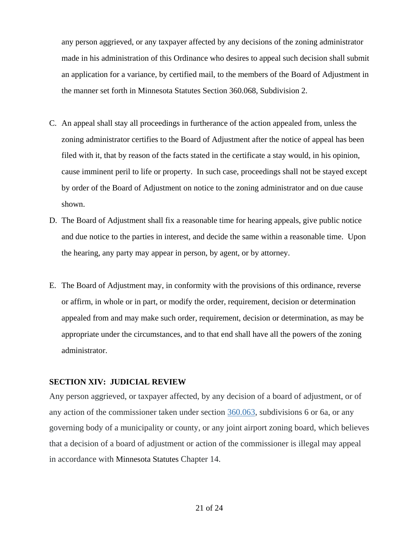any person aggrieved, or any taxpayer affected by any decisions of the zoning administrator made in his administration of this Ordinance who desires to appeal such decision shall submit an application for a variance, by certified mail, to the members of the Board of Adjustment in the manner set forth in Minnesota Statutes Section 360.068, Subdivision 2.

- C. An appeal shall stay all proceedings in furtherance of the action appealed from, unless the zoning administrator certifies to the Board of Adjustment after the notice of appeal has been filed with it, that by reason of the facts stated in the certificate a stay would, in his opinion, cause imminent peril to life or property. In such case, proceedings shall not be stayed except by order of the Board of Adjustment on notice to the zoning administrator and on due cause shown.
- D. The Board of Adjustment shall fix a reasonable time for hearing appeals, give public notice and due notice to the parties in interest, and decide the same within a reasonable time. Upon the hearing, any party may appear in person, by agent, or by attorney.
- E. The Board of Adjustment may, in conformity with the provisions of this ordinance, reverse or affirm, in whole or in part, or modify the order, requirement, decision or determination appealed from and may make such order, requirement, decision or determination, as may be appropriate under the circumstances, and to that end shall have all the powers of the zoning administrator.

#### <span id="page-21-0"></span>**SECTION XIV: JUDICIAL REVIEW**

Any person aggrieved, or taxpayer affected, by any decision of a board of adjustment, or of any action of the commissioner taken under section [360.063,](https://www.revisor.mn.gov/statutes/cite/360.063) subdivisions 6 or 6a, or any governing body of a municipality or county, or any joint airport zoning board, which believes that a decision of a board of adjustment or action of the commissioner is illegal may appeal in accordance with Minnesota Statutes Chapter 14.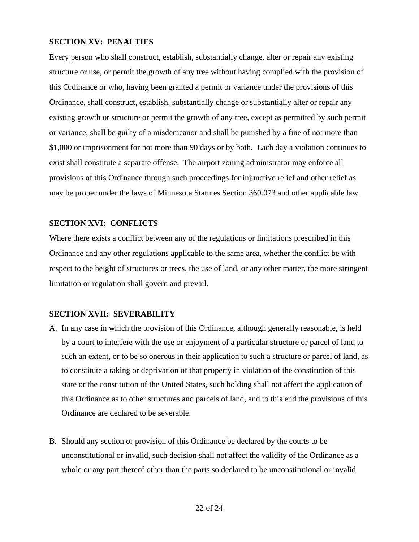#### <span id="page-22-0"></span>**SECTION XV: PENALTIES**

Every person who shall construct, establish, substantially change, alter or repair any existing structure or use, or permit the growth of any tree without having complied with the provision of this Ordinance or who, having been granted a permit or variance under the provisions of this Ordinance, shall construct, establish, substantially change or substantially alter or repair any existing growth or structure or permit the growth of any tree, except as permitted by such permit or variance, shall be guilty of a misdemeanor and shall be punished by a fine of not more than \$1,000 or imprisonment for not more than 90 days or by both. Each day a violation continues to exist shall constitute a separate offense. The airport zoning administrator may enforce all provisions of this Ordinance through such proceedings for injunctive relief and other relief as may be proper under the laws of Minnesota Statutes Section 360.073 and other applicable law.

#### <span id="page-22-1"></span>**SECTION XVI: CONFLICTS**

Where there exists a conflict between any of the regulations or limitations prescribed in this Ordinance and any other regulations applicable to the same area, whether the conflict be with respect to the height of structures or trees, the use of land, or any other matter, the more stringent limitation or regulation shall govern and prevail.

#### <span id="page-22-2"></span>**SECTION XVII: SEVERABILITY**

- A. In any case in which the provision of this Ordinance, although generally reasonable, is held by a court to interfere with the use or enjoyment of a particular structure or parcel of land to such an extent, or to be so onerous in their application to such a structure or parcel of land, as to constitute a taking or deprivation of that property in violation of the constitution of this state or the constitution of the United States, such holding shall not affect the application of this Ordinance as to other structures and parcels of land, and to this end the provisions of this Ordinance are declared to be severable.
- B. Should any section or provision of this Ordinance be declared by the courts to be unconstitutional or invalid, such decision shall not affect the validity of the Ordinance as a whole or any part thereof other than the parts so declared to be unconstitutional or invalid.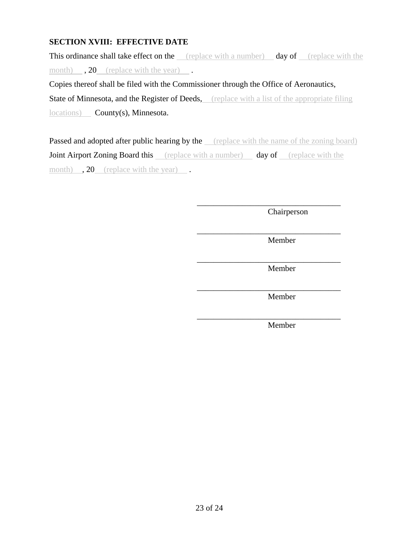## <span id="page-23-0"></span>**SECTION XVIII: EFFECTIVE DATE**

This ordinance shall take effect on the <u>(replace with a number)</u> day of (replace with the month)  $, 20$  (replace with the year).

Copies thereof shall be filed with the Commissioner through the Office of Aeronautics, State of Minnesota, and the Register of Deeds, (replace with a list of the appropriate filing locations) County(s), Minnesota.

Passed and adopted after public hearing by the <u>replace with the name of the zoning board</u>) Joint Airport Zoning Board this (replace with a number) day of (replace with the month) , 20 (replace with the year).

Chairperson

\_\_\_\_\_\_\_\_\_\_\_\_\_\_\_\_\_\_\_\_\_\_\_\_\_\_\_\_\_\_\_\_\_\_\_ Member

\_\_\_\_\_\_\_\_\_\_\_\_\_\_\_\_\_\_\_\_\_\_\_\_\_\_\_\_\_\_\_\_\_\_\_

\_\_\_\_\_\_\_\_\_\_\_\_\_\_\_\_\_\_\_\_\_\_\_\_\_\_\_\_\_\_\_\_\_\_\_

\_\_\_\_\_\_\_\_\_\_\_\_\_\_\_\_\_\_\_\_\_\_\_\_\_\_\_\_\_\_\_\_\_\_\_

\_\_\_\_\_\_\_\_\_\_\_\_\_\_\_\_\_\_\_\_\_\_\_\_\_\_\_\_\_\_\_\_\_\_\_

Member

Member

Member